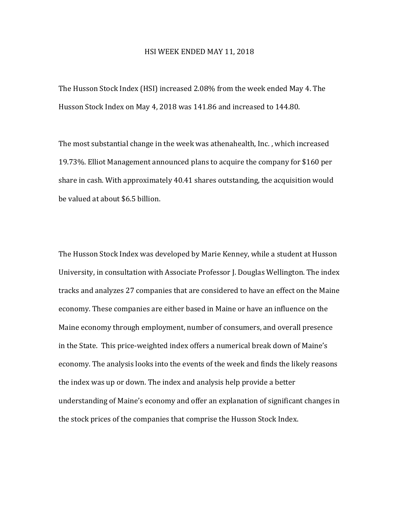## HSI WEEK ENDED MAY 11, 2018

The Husson Stock Index (HSI) increased 2.08% from the week ended May 4. The Husson Stock Index on May 4, 2018 was 141.86 and increased to 144.80.

The most substantial change in the week was athenahealth, Inc., which increased 19.73%. Elliot Management announced plans to acquire the company for \$160 per share in cash. With approximately  $40.41$  shares outstanding, the acquisition would be valued at about \$6.5 billion.

The Husson Stock Index was developed by Marie Kenney, while a student at Husson University, in consultation with Associate Professor J. Douglas Wellington. The index tracks and analyzes 27 companies that are considered to have an effect on the Maine economy. These companies are either based in Maine or have an influence on the Maine economy through employment, number of consumers, and overall presence in the State. This price-weighted index offers a numerical break down of Maine's economy. The analysis looks into the events of the week and finds the likely reasons the index was up or down. The index and analysis help provide a better understanding of Maine's economy and offer an explanation of significant changes in the stock prices of the companies that comprise the Husson Stock Index.